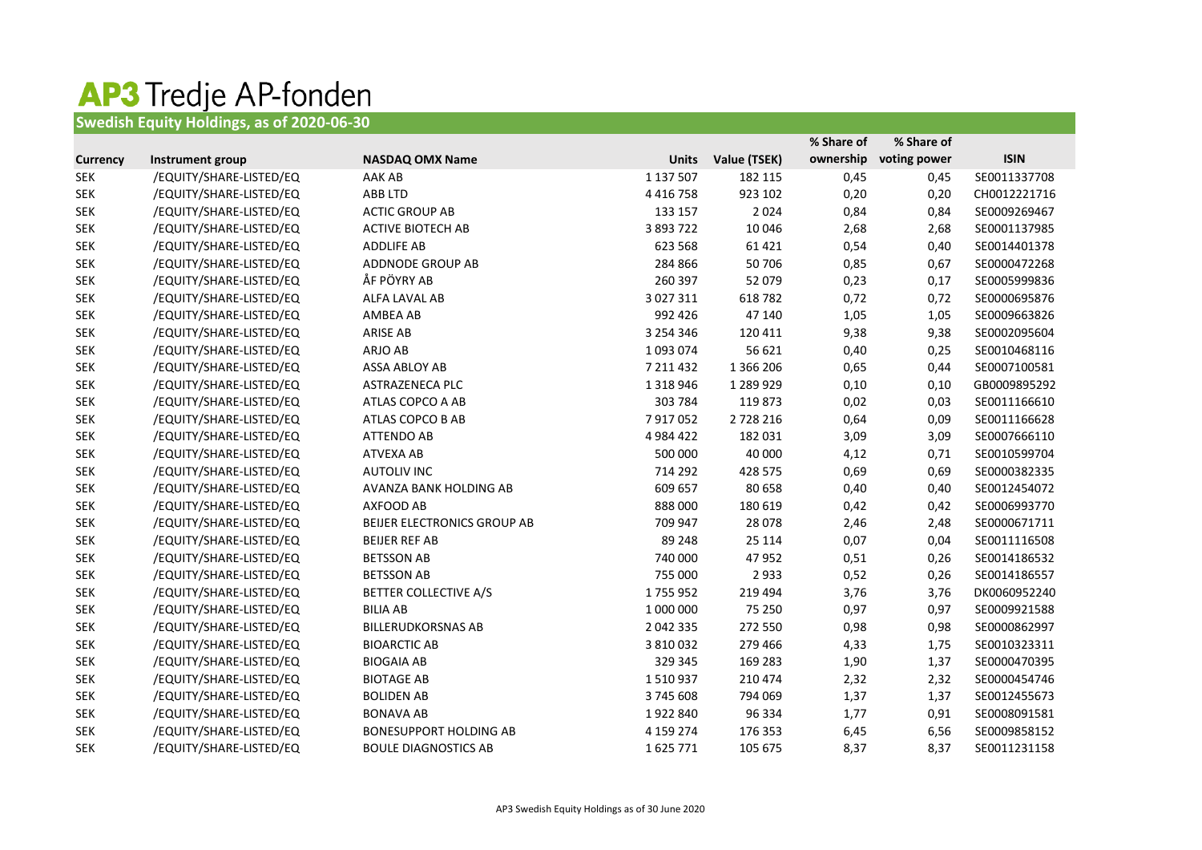## **AP3 Tredje AP-fonden**<br>Swedish Equity Holdings, as of 2020-06-30

|                 |                         |                               |               |              | % Share of | % Share of   |              |
|-----------------|-------------------------|-------------------------------|---------------|--------------|------------|--------------|--------------|
| <b>Currency</b> | Instrument group        | <b>NASDAQ OMX Name</b>        | <b>Units</b>  | Value (TSEK) | ownership  | voting power | <b>ISIN</b>  |
| <b>SEK</b>      | /EQUITY/SHARE-LISTED/EQ | AAK AB                        | 1 137 507     | 182 115      | 0,45       | 0,45         | SE0011337708 |
| <b>SEK</b>      | /EQUITY/SHARE-LISTED/EQ | ABB LTD                       | 4 4 1 6 7 5 8 | 923 102      | 0,20       | 0,20         | CH0012221716 |
| <b>SEK</b>      | /EQUITY/SHARE-LISTED/EQ | <b>ACTIC GROUP AB</b>         | 133 157       | 2024         | 0,84       | 0,84         | SE0009269467 |
| <b>SEK</b>      | /EQUITY/SHARE-LISTED/EQ | <b>ACTIVE BIOTECH AB</b>      | 3 893 722     | 10 046       | 2,68       | 2,68         | SE0001137985 |
| <b>SEK</b>      | /EQUITY/SHARE-LISTED/EQ | <b>ADDLIFE AB</b>             | 623 568       | 61 4 21      | 0,54       | 0,40         | SE0014401378 |
| <b>SEK</b>      | /EQUITY/SHARE-LISTED/EQ | ADDNODE GROUP AB              | 284 866       | 50 706       | 0,85       | 0,67         | SE0000472268 |
| <b>SEK</b>      | /EQUITY/SHARE-LISTED/EQ | ÅF PÖYRY AB                   | 260 397       | 52 079       | 0,23       | 0,17         | SE0005999836 |
| <b>SEK</b>      | /EQUITY/SHARE-LISTED/EQ | ALFA LAVAL AB                 | 3 0 2 7 3 1 1 | 618782       | 0,72       | 0,72         | SE0000695876 |
| <b>SEK</b>      | /EQUITY/SHARE-LISTED/EQ | AMBEA AB                      | 992 426       | 47 140       | 1,05       | 1,05         | SE0009663826 |
| <b>SEK</b>      | /EQUITY/SHARE-LISTED/EQ | <b>ARISE AB</b>               | 3 2 5 4 3 4 6 | 120 411      | 9,38       | 9,38         | SE0002095604 |
| <b>SEK</b>      | /EQUITY/SHARE-LISTED/EQ | ARJO AB                       | 1093074       | 56 621       | 0,40       | 0,25         | SE0010468116 |
| <b>SEK</b>      | /EQUITY/SHARE-LISTED/EQ | <b>ASSA ABLOY AB</b>          | 7 211 432     | 1 366 206    | 0,65       | 0,44         | SE0007100581 |
| <b>SEK</b>      | /EQUITY/SHARE-LISTED/EQ | ASTRAZENECA PLC               | 1 3 1 8 9 4 6 | 1 289 929    | 0,10       | 0,10         | GB0009895292 |
| <b>SEK</b>      | /EQUITY/SHARE-LISTED/EQ | ATLAS COPCO A AB              | 303 784       | 119873       | 0,02       | 0,03         | SE0011166610 |
| <b>SEK</b>      | /EQUITY/SHARE-LISTED/EQ | ATLAS COPCO B AB              | 7917052       | 2728216      | 0,64       | 0,09         | SE0011166628 |
| <b>SEK</b>      | /EQUITY/SHARE-LISTED/EQ | <b>ATTENDO AB</b>             | 4 9 8 4 4 2 2 | 182 031      | 3,09       | 3,09         | SE0007666110 |
| <b>SEK</b>      | /EQUITY/SHARE-LISTED/EQ | <b>ATVEXA AB</b>              | 500 000       | 40 000       | 4,12       | 0,71         | SE0010599704 |
| <b>SEK</b>      | /EQUITY/SHARE-LISTED/EQ | <b>AUTOLIV INC</b>            | 714 292       | 428 575      | 0,69       | 0,69         | SE0000382335 |
| <b>SEK</b>      | /EQUITY/SHARE-LISTED/EQ | AVANZA BANK HOLDING AB        | 609 657       | 80 658       | 0,40       | 0,40         | SE0012454072 |
| <b>SEK</b>      | /EQUITY/SHARE-LISTED/EQ | AXFOOD AB                     | 888000        | 180 619      | 0,42       | 0,42         | SE0006993770 |
| <b>SEK</b>      | /EQUITY/SHARE-LISTED/EQ | BEIJER ELECTRONICS GROUP AB   | 709 947       | 28 0 78      | 2,46       | 2,48         | SE0000671711 |
| <b>SEK</b>      | /EQUITY/SHARE-LISTED/EQ | <b>BEIJER REF AB</b>          | 89 248        | 25 114       | 0,07       | 0,04         | SE0011116508 |
| <b>SEK</b>      | /EQUITY/SHARE-LISTED/EQ | <b>BETSSON AB</b>             | 740 000       | 47 952       | 0,51       | 0,26         | SE0014186532 |
| <b>SEK</b>      | /EQUITY/SHARE-LISTED/EQ | <b>BETSSON AB</b>             | 755 000       | 2933         | 0,52       | 0,26         | SE0014186557 |
| <b>SEK</b>      | /EQUITY/SHARE-LISTED/EQ | <b>BETTER COLLECTIVE A/S</b>  | 1755952       | 219 494      | 3,76       | 3,76         | DK0060952240 |
| <b>SEK</b>      | /EQUITY/SHARE-LISTED/EQ | <b>BILIA AB</b>               | 1 000 000     | 75 250       | 0,97       | 0,97         | SE0009921588 |
| <b>SEK</b>      | /EQUITY/SHARE-LISTED/EQ | <b>BILLERUDKORSNAS AB</b>     | 2 042 335     | 272 550      | 0,98       | 0,98         | SE0000862997 |
| <b>SEK</b>      | /EQUITY/SHARE-LISTED/EQ | <b>BIOARCTIC AB</b>           | 3 810 032     | 279 466      | 4,33       | 1,75         | SE0010323311 |
| <b>SEK</b>      | /EQUITY/SHARE-LISTED/EQ | <b>BIOGAIA AB</b>             | 329 345       | 169 283      | 1,90       | 1,37         | SE0000470395 |
| <b>SEK</b>      | /EQUITY/SHARE-LISTED/EQ | <b>BIOTAGE AB</b>             | 1510937       | 210 474      | 2,32       | 2,32         | SE0000454746 |
| <b>SEK</b>      | /EQUITY/SHARE-LISTED/EQ | <b>BOLIDEN AB</b>             | 3745608       | 794 069      | 1,37       | 1,37         | SE0012455673 |
| <b>SEK</b>      | /EQUITY/SHARE-LISTED/EQ | <b>BONAVA AB</b>              | 1922840       | 96 334       | 1,77       | 0,91         | SE0008091581 |
| <b>SEK</b>      | /EQUITY/SHARE-LISTED/EQ | <b>BONESUPPORT HOLDING AB</b> | 4 159 274     | 176 353      | 6,45       | 6,56         | SE0009858152 |
| <b>SEK</b>      | /EQUITY/SHARE-LISTED/EQ | <b>BOULE DIAGNOSTICS AB</b>   | 1625771       | 105 675      | 8,37       | 8,37         | SE0011231158 |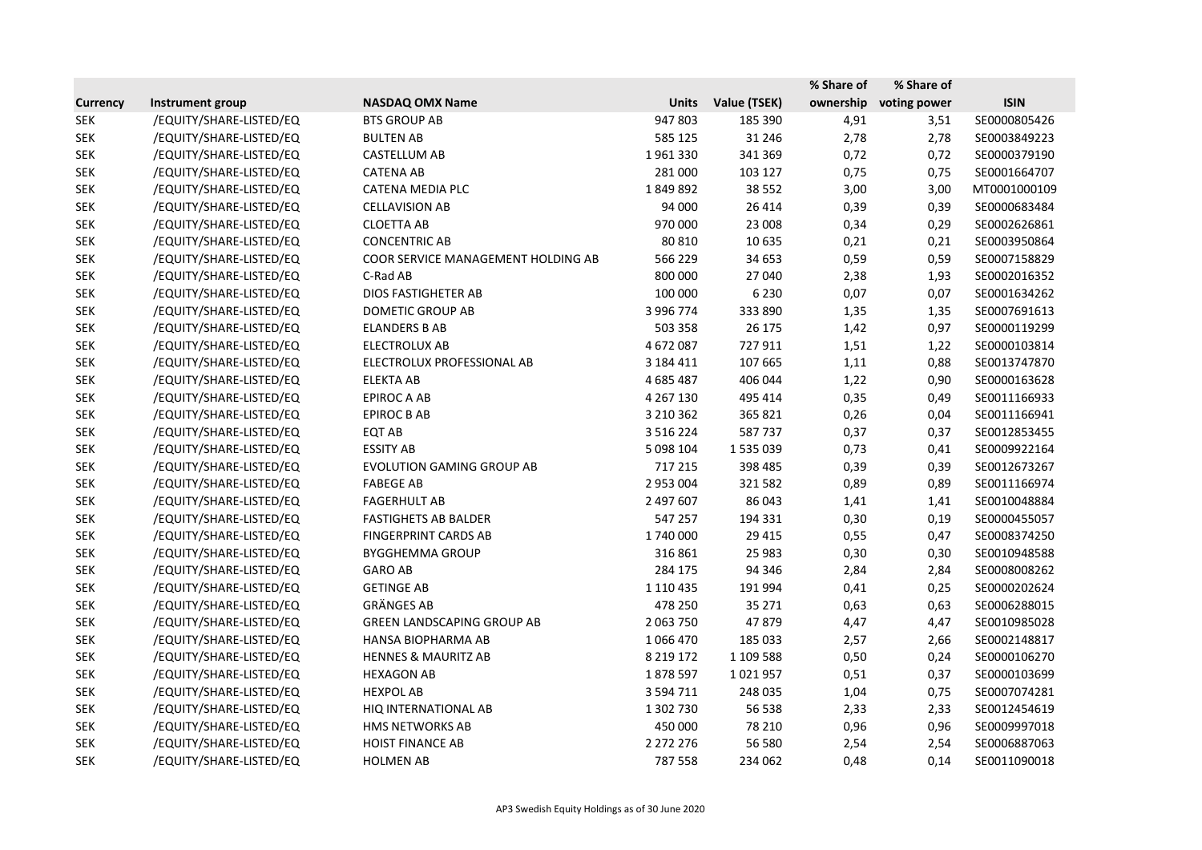|                 |                         |                                    |               |              | % Share of | % Share of   |              |
|-----------------|-------------------------|------------------------------------|---------------|--------------|------------|--------------|--------------|
| <b>Currency</b> | Instrument group        | <b>NASDAQ OMX Name</b>             | <b>Units</b>  | Value (TSEK) | ownership  | voting power | <b>ISIN</b>  |
| <b>SEK</b>      | /EQUITY/SHARE-LISTED/EQ | <b>BTS GROUP AB</b>                | 947803        | 185 390      | 4,91       | 3,51         | SE0000805426 |
| <b>SEK</b>      | /EQUITY/SHARE-LISTED/EQ | <b>BULTEN AB</b>                   | 585 125       | 31 24 6      | 2,78       | 2,78         | SE0003849223 |
| <b>SEK</b>      | /EQUITY/SHARE-LISTED/EQ | CASTELLUM AB                       | 1961330       | 341 369      | 0,72       | 0,72         | SE0000379190 |
| <b>SEK</b>      | /EQUITY/SHARE-LISTED/EQ | <b>CATENA AB</b>                   | 281 000       | 103 127      | 0,75       | 0,75         | SE0001664707 |
| <b>SEK</b>      | /EQUITY/SHARE-LISTED/EQ | CATENA MEDIA PLC                   | 1849892       | 38 5 52      | 3,00       | 3,00         | MT0001000109 |
| <b>SEK</b>      | /EQUITY/SHARE-LISTED/EQ | <b>CELLAVISION AB</b>              | 94 000        | 26 4 14      | 0,39       | 0,39         | SE0000683484 |
| <b>SEK</b>      | /EQUITY/SHARE-LISTED/EQ | <b>CLOETTA AB</b>                  | 970 000       | 23 008       | 0,34       | 0,29         | SE0002626861 |
| <b>SEK</b>      | /EQUITY/SHARE-LISTED/EQ | <b>CONCENTRIC AB</b>               | 80 810        | 10 635       | 0,21       | 0,21         | SE0003950864 |
| <b>SEK</b>      | /EQUITY/SHARE-LISTED/EQ | COOR SERVICE MANAGEMENT HOLDING AB | 566 229       | 34 653       | 0,59       | 0,59         | SE0007158829 |
| <b>SEK</b>      | /EQUITY/SHARE-LISTED/EQ | C-Rad AB                           | 800 000       | 27 040       | 2,38       | 1,93         | SE0002016352 |
| <b>SEK</b>      | /EQUITY/SHARE-LISTED/EQ | <b>DIOS FASTIGHETER AB</b>         | 100 000       | 6 2 3 0      | 0,07       | 0,07         | SE0001634262 |
| <b>SEK</b>      | /EQUITY/SHARE-LISTED/EQ | DOMETIC GROUP AB                   | 3 996 774     | 333 890      | 1,35       | 1,35         | SE0007691613 |
| <b>SEK</b>      | /EQUITY/SHARE-LISTED/EQ | <b>ELANDERS B AB</b>               | 503 358       | 26 175       | 1,42       | 0,97         | SE0000119299 |
| <b>SEK</b>      | /EQUITY/SHARE-LISTED/EQ | <b>ELECTROLUX AB</b>               | 4672087       | 727911       | 1,51       | 1,22         | SE0000103814 |
| <b>SEK</b>      | /EQUITY/SHARE-LISTED/EQ | ELECTROLUX PROFESSIONAL AB         | 3 184 411     | 107 665      | 1,11       | 0,88         | SE0013747870 |
| <b>SEK</b>      | /EQUITY/SHARE-LISTED/EQ | <b>ELEKTA AB</b>                   | 4 685 487     | 406 044      | 1,22       | 0,90         | SE0000163628 |
| <b>SEK</b>      | /EQUITY/SHARE-LISTED/EQ | <b>EPIROC A AB</b>                 | 4 267 130     | 495 414      | 0,35       | 0,49         | SE0011166933 |
| <b>SEK</b>      | /EQUITY/SHARE-LISTED/EQ | <b>EPIROC B AB</b>                 | 3 2 1 0 3 6 2 | 365 821      | 0,26       | 0,04         | SE0011166941 |
| <b>SEK</b>      | /EQUITY/SHARE-LISTED/EQ | EQT AB                             | 3 5 1 6 2 2 4 | 587737       | 0,37       | 0,37         | SE0012853455 |
| <b>SEK</b>      | /EQUITY/SHARE-LISTED/EQ | <b>ESSITY AB</b>                   | 5 098 104     | 1535039      | 0,73       | 0,41         | SE0009922164 |
| <b>SEK</b>      | /EQUITY/SHARE-LISTED/EQ | <b>EVOLUTION GAMING GROUP AB</b>   | 717 215       | 398 485      | 0,39       | 0,39         | SE0012673267 |
| <b>SEK</b>      | /EQUITY/SHARE-LISTED/EQ | <b>FABEGE AB</b>                   | 2 953 004     | 321 582      | 0,89       | 0,89         | SE0011166974 |
| <b>SEK</b>      | /EQUITY/SHARE-LISTED/EQ | <b>FAGERHULT AB</b>                | 2 497 607     | 86 043       | 1,41       | 1,41         | SE0010048884 |
| <b>SEK</b>      | /EQUITY/SHARE-LISTED/EQ | <b>FASTIGHETS AB BALDER</b>        | 547 257       | 194 331      | 0,30       | 0,19         | SE0000455057 |
| <b>SEK</b>      | /EQUITY/SHARE-LISTED/EQ | <b>FINGERPRINT CARDS AB</b>        | 1740000       | 29 4 15      | 0,55       | 0,47         | SE0008374250 |
| <b>SEK</b>      | /EQUITY/SHARE-LISTED/EQ | <b>BYGGHEMMA GROUP</b>             | 316 861       | 25 983       | 0,30       | 0,30         | SE0010948588 |
| <b>SEK</b>      | /EQUITY/SHARE-LISTED/EQ | <b>GARO AB</b>                     | 284 175       | 94 34 6      | 2,84       | 2,84         | SE0008008262 |
| <b>SEK</b>      | /EQUITY/SHARE-LISTED/EQ | <b>GETINGE AB</b>                  | 1 1 1 0 4 3 5 | 191 994      | 0,41       | 0,25         | SE0000202624 |
| <b>SEK</b>      | /EQUITY/SHARE-LISTED/EQ | <b>GRÄNGES AB</b>                  | 478 250       | 35 271       | 0,63       | 0,63         | SE0006288015 |
| <b>SEK</b>      | /EQUITY/SHARE-LISTED/EQ | <b>GREEN LANDSCAPING GROUP AB</b>  | 2 063 750     | 47 879       | 4,47       | 4,47         | SE0010985028 |
| <b>SEK</b>      | /EQUITY/SHARE-LISTED/EQ | HANSA BIOPHARMA AB                 | 1066470       | 185 033      | 2,57       | 2,66         | SE0002148817 |
| <b>SEK</b>      | /EQUITY/SHARE-LISTED/EQ | <b>HENNES &amp; MAURITZ AB</b>     | 8 2 1 9 1 7 2 | 1 109 588    | 0,50       | 0,24         | SE0000106270 |
| <b>SEK</b>      | /EQUITY/SHARE-LISTED/EQ | <b>HEXAGON AB</b>                  | 1878597       | 1021957      | 0,51       | 0,37         | SE0000103699 |
| <b>SEK</b>      | /EQUITY/SHARE-LISTED/EQ | <b>HEXPOL AB</b>                   | 3 5 9 4 7 1 1 | 248 035      | 1,04       | 0,75         | SE0007074281 |
| <b>SEK</b>      | /EQUITY/SHARE-LISTED/EQ | HIQ INTERNATIONAL AB               | 1 302 730     | 56 538       | 2,33       | 2,33         | SE0012454619 |
| <b>SEK</b>      | /EQUITY/SHARE-LISTED/EQ | HMS NETWORKS AB                    | 450 000       | 78 210       | 0,96       | 0,96         | SE0009997018 |
| <b>SEK</b>      | /EQUITY/SHARE-LISTED/EQ | <b>HOIST FINANCE AB</b>            | 2 272 276     | 56 580       | 2,54       | 2,54         | SE0006887063 |
| <b>SEK</b>      | /EQUITY/SHARE-LISTED/EQ | <b>HOLMEN AB</b>                   | 787 558       | 234 062      | 0,48       | 0,14         | SE0011090018 |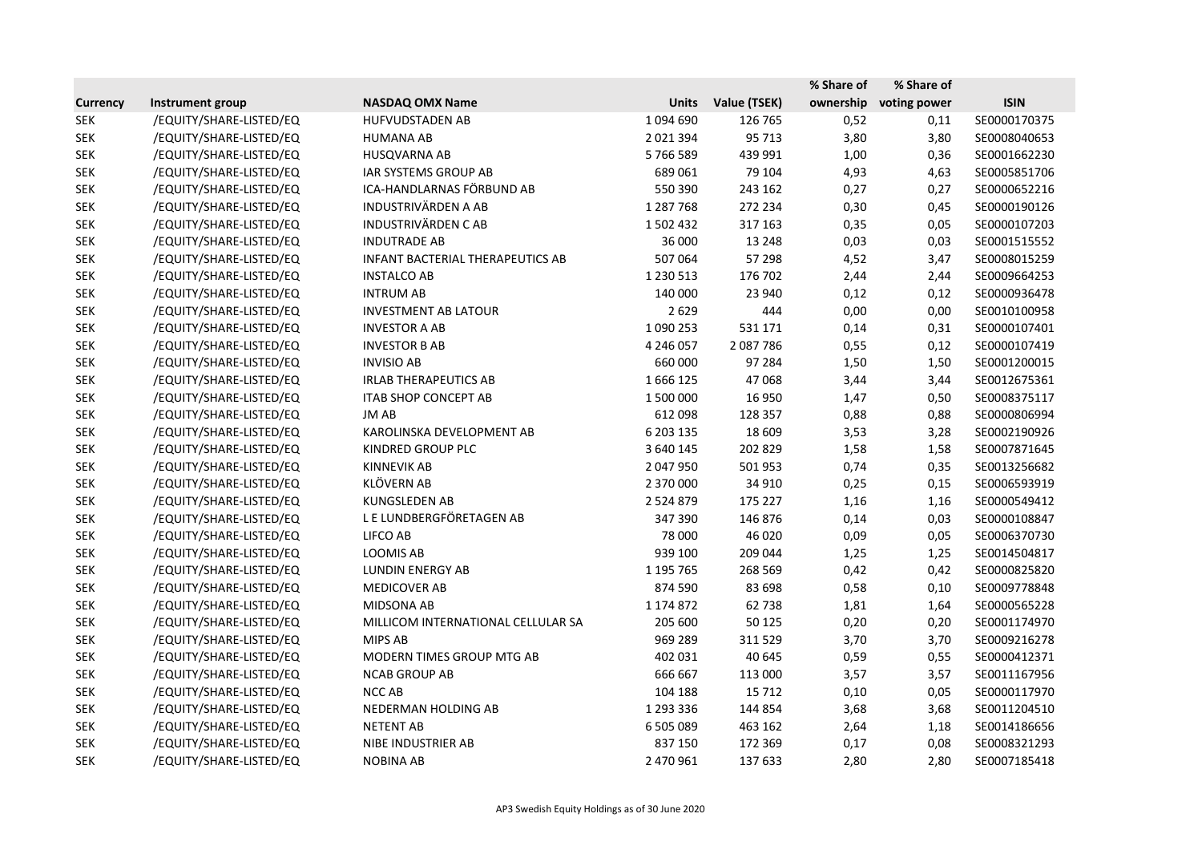|                 |                         |                                         |               |              | % Share of | % Share of   |              |
|-----------------|-------------------------|-----------------------------------------|---------------|--------------|------------|--------------|--------------|
| <b>Currency</b> | Instrument group        | <b>NASDAQ OMX Name</b>                  | <b>Units</b>  | Value (TSEK) | ownership  | voting power | <b>ISIN</b>  |
| <b>SEK</b>      | /EQUITY/SHARE-LISTED/EQ | <b>HUFVUDSTADEN AB</b>                  | 1094690       | 126 765      | 0,52       | 0,11         | SE0000170375 |
| <b>SEK</b>      | /EQUITY/SHARE-LISTED/EQ | <b>HUMANA AB</b>                        | 2021394       | 95 713       | 3,80       | 3,80         | SE0008040653 |
| <b>SEK</b>      | /EQUITY/SHARE-LISTED/EQ | HUSQVARNA AB                            | 5766589       | 439 991      | 1,00       | 0,36         | SE0001662230 |
| <b>SEK</b>      | /EQUITY/SHARE-LISTED/EQ | IAR SYSTEMS GROUP AB                    | 689 061       | 79 104       | 4,93       | 4,63         | SE0005851706 |
| <b>SEK</b>      | /EQUITY/SHARE-LISTED/EQ | ICA-HANDLARNAS FÖRBUND AB               | 550 390       | 243 162      | 0,27       | 0,27         | SE0000652216 |
| <b>SEK</b>      | /EQUITY/SHARE-LISTED/EQ | <b>INDUSTRIVÄRDEN A AB</b>              | 1 287 768     | 272 234      | 0,30       | 0,45         | SE0000190126 |
| <b>SEK</b>      | /EQUITY/SHARE-LISTED/EQ | <b>INDUSTRIVÄRDEN CAB</b>               | 1502432       | 317 163      | 0,35       | 0,05         | SE0000107203 |
| <b>SEK</b>      | /EQUITY/SHARE-LISTED/EQ | <b>INDUTRADE AB</b>                     | 36 000        | 13 248       | 0,03       | 0,03         | SE0001515552 |
| <b>SEK</b>      | /EQUITY/SHARE-LISTED/EQ | <b>INFANT BACTERIAL THERAPEUTICS AB</b> | 507 064       | 57 298       | 4,52       | 3,47         | SE0008015259 |
| <b>SEK</b>      | /EQUITY/SHARE-LISTED/EQ | <b>INSTALCO AB</b>                      | 1 2 3 0 5 1 3 | 176 702      | 2,44       | 2,44         | SE0009664253 |
| <b>SEK</b>      | /EQUITY/SHARE-LISTED/EQ | <b>INTRUM AB</b>                        | 140 000       | 23 940       | 0,12       | 0,12         | SE0000936478 |
| <b>SEK</b>      | /EQUITY/SHARE-LISTED/EQ | <b>INVESTMENT AB LATOUR</b>             | 2629          | 444          | 0,00       | 0,00         | SE0010100958 |
| <b>SEK</b>      | /EQUITY/SHARE-LISTED/EQ | <b>INVESTOR A AB</b>                    | 1 090 253     | 531 171      | 0,14       | 0,31         | SE0000107401 |
| <b>SEK</b>      | /EQUITY/SHARE-LISTED/EQ | <b>INVESTOR B AB</b>                    | 4 246 057     | 2 087 786    | 0,55       | 0,12         | SE0000107419 |
| <b>SEK</b>      | /EQUITY/SHARE-LISTED/EQ | <b>INVISIO AB</b>                       | 660 000       | 97 284       | 1,50       | 1,50         | SE0001200015 |
| <b>SEK</b>      | /EQUITY/SHARE-LISTED/EQ | <b>IRLAB THERAPEUTICS AB</b>            | 1666125       | 47 068       | 3,44       | 3,44         | SE0012675361 |
| <b>SEK</b>      | /EQUITY/SHARE-LISTED/EQ | <b>ITAB SHOP CONCEPT AB</b>             | 1 500 000     | 16 9 50      | 1,47       | 0,50         | SE0008375117 |
| <b>SEK</b>      | /EQUITY/SHARE-LISTED/EQ | JM AB                                   | 612 098       | 128 357      | 0,88       | 0,88         | SE0000806994 |
| <b>SEK</b>      | /EQUITY/SHARE-LISTED/EQ | KAROLINSKA DEVELOPMENT AB               | 6 203 135     | 18 609       | 3,53       | 3,28         | SE0002190926 |
| <b>SEK</b>      | /EQUITY/SHARE-LISTED/EQ | KINDRED GROUP PLC                       | 3 640 145     | 202 829      | 1,58       | 1,58         | SE0007871645 |
| <b>SEK</b>      | /EQUITY/SHARE-LISTED/EQ | <b>KINNEVIK AB</b>                      | 2 047 950     | 501 953      | 0,74       | 0,35         | SE0013256682 |
| <b>SEK</b>      | /EQUITY/SHARE-LISTED/EQ | <b>KLÖVERN AB</b>                       | 2 370 000     | 34 910       | 0,25       | 0,15         | SE0006593919 |
| <b>SEK</b>      | /EQUITY/SHARE-LISTED/EQ | <b>KUNGSLEDEN AB</b>                    | 2 5 2 4 8 7 9 | 175 227      | 1,16       | 1,16         | SE0000549412 |
| <b>SEK</b>      | /EQUITY/SHARE-LISTED/EQ | LE LUNDBERGFÖRETAGEN AB                 | 347 390       | 146 876      | 0,14       | 0,03         | SE0000108847 |
| <b>SEK</b>      | /EQUITY/SHARE-LISTED/EQ | LIFCO AB                                | 78 000        | 46 0 20      | 0,09       | 0,05         | SE0006370730 |
| <b>SEK</b>      | /EQUITY/SHARE-LISTED/EQ | LOOMIS AB                               | 939 100       | 209 044      | 1,25       | 1,25         | SE0014504817 |
| <b>SEK</b>      | /EQUITY/SHARE-LISTED/EQ | LUNDIN ENERGY AB                        | 1 195 765     | 268 569      | 0,42       | 0,42         | SE0000825820 |
| <b>SEK</b>      | /EQUITY/SHARE-LISTED/EQ | <b>MEDICOVER AB</b>                     | 874 590       | 83 698       | 0,58       | 0,10         | SE0009778848 |
| <b>SEK</b>      | /EQUITY/SHARE-LISTED/EQ | <b>MIDSONA AB</b>                       | 1 174 872     | 62738        | 1,81       | 1,64         | SE0000565228 |
| <b>SEK</b>      | /EQUITY/SHARE-LISTED/EQ | MILLICOM INTERNATIONAL CELLULAR SA      | 205 600       | 50 125       | 0,20       | 0,20         | SE0001174970 |
| <b>SEK</b>      | /EQUITY/SHARE-LISTED/EQ | <b>MIPS AB</b>                          | 969 289       | 311 529      | 3,70       | 3,70         | SE0009216278 |
| <b>SEK</b>      | /EQUITY/SHARE-LISTED/EQ | MODERN TIMES GROUP MTG AB               | 402 031       | 40 645       | 0,59       | 0,55         | SE0000412371 |
| <b>SEK</b>      | /EQUITY/SHARE-LISTED/EQ | <b>NCAB GROUP AB</b>                    | 666 667       | 113 000      | 3,57       | 3,57         | SE0011167956 |
| <b>SEK</b>      | /EQUITY/SHARE-LISTED/EQ | NCC AB                                  | 104 188       | 15 7 12      | 0,10       | 0,05         | SE0000117970 |
| <b>SEK</b>      | /EQUITY/SHARE-LISTED/EQ | NEDERMAN HOLDING AB                     | 1 293 336     | 144 854      | 3,68       | 3,68         | SE0011204510 |
| <b>SEK</b>      | /EQUITY/SHARE-LISTED/EQ | <b>NETENT AB</b>                        | 6 505 089     | 463 162      | 2,64       | 1,18         | SE0014186656 |
| <b>SEK</b>      | /EQUITY/SHARE-LISTED/EQ | NIBE INDUSTRIER AB                      | 837 150       | 172 369      | 0,17       | 0,08         | SE0008321293 |
| <b>SEK</b>      | /EQUITY/SHARE-LISTED/EQ | <b>NOBINA AB</b>                        | 2 470 961     | 137 633      | 2,80       | 2,80         | SE0007185418 |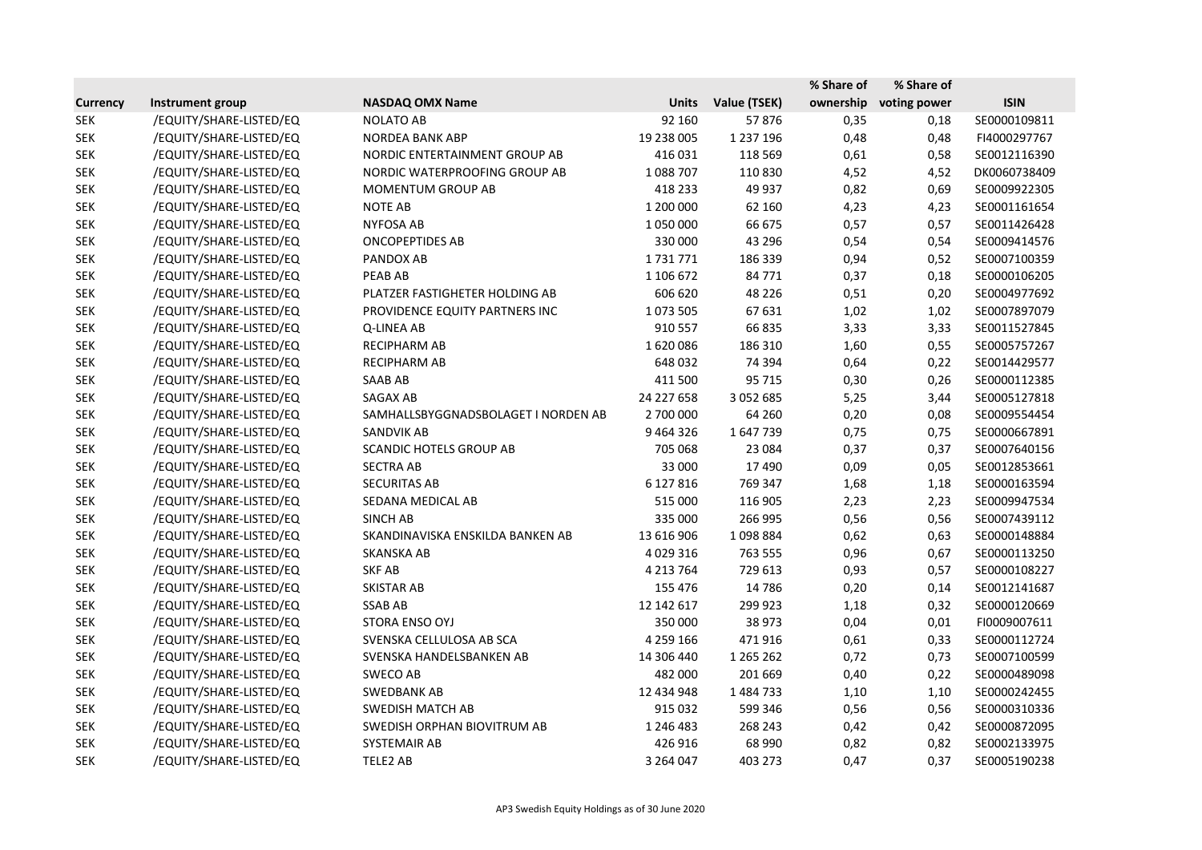|                 |                         |                                     |               |               | % Share of | % Share of   |              |
|-----------------|-------------------------|-------------------------------------|---------------|---------------|------------|--------------|--------------|
| <b>Currency</b> | Instrument group        | <b>NASDAQ OMX Name</b>              | <b>Units</b>  | Value (TSEK)  | ownership  | voting power | <b>ISIN</b>  |
| <b>SEK</b>      | /EQUITY/SHARE-LISTED/EQ | <b>NOLATO AB</b>                    | 92 160        | 57876         | 0,35       | 0,18         | SE0000109811 |
| <b>SEK</b>      | /EQUITY/SHARE-LISTED/EQ | NORDEA BANK ABP                     | 19 238 005    | 1 2 3 7 1 9 6 | 0,48       | 0,48         | FI4000297767 |
| <b>SEK</b>      | /EQUITY/SHARE-LISTED/EQ | NORDIC ENTERTAINMENT GROUP AB       | 416 031       | 118 569       | 0,61       | 0,58         | SE0012116390 |
| <b>SEK</b>      | /EQUITY/SHARE-LISTED/EQ | NORDIC WATERPROOFING GROUP AB       | 1088707       | 110 830       | 4,52       | 4,52         | DK0060738409 |
| <b>SEK</b>      | /EQUITY/SHARE-LISTED/EQ | MOMENTUM GROUP AB                   | 418 233       | 49 937        | 0,82       | 0,69         | SE0009922305 |
| <b>SEK</b>      | /EQUITY/SHARE-LISTED/EQ | <b>NOTE AB</b>                      | 1 200 000     | 62 160        | 4,23       | 4,23         | SE0001161654 |
| <b>SEK</b>      | /EQUITY/SHARE-LISTED/EQ | <b>NYFOSA AB</b>                    | 1050000       | 66 675        | 0,57       | 0,57         | SE0011426428 |
| <b>SEK</b>      | /EQUITY/SHARE-LISTED/EQ | <b>ONCOPEPTIDES AB</b>              | 330 000       | 43 29 6       | 0,54       | 0,54         | SE0009414576 |
| <b>SEK</b>      | /EQUITY/SHARE-LISTED/EQ | PANDOX AB                           | 1731771       | 186 339       | 0,94       | 0,52         | SE0007100359 |
| <b>SEK</b>      | /EQUITY/SHARE-LISTED/EQ | <b>PEAB AB</b>                      | 1 106 672     | 84 771        | 0,37       | 0,18         | SE0000106205 |
| <b>SEK</b>      | /EQUITY/SHARE-LISTED/EQ | PLATZER FASTIGHETER HOLDING AB      | 606 620       | 48 2 2 6      | 0,51       | 0,20         | SE0004977692 |
| <b>SEK</b>      | /EQUITY/SHARE-LISTED/EQ | PROVIDENCE EQUITY PARTNERS INC      | 1073505       | 67 631        | 1,02       | 1,02         | SE0007897079 |
| <b>SEK</b>      | /EQUITY/SHARE-LISTED/EQ | Q-LINEA AB                          | 910 557       | 66835         | 3,33       | 3,33         | SE0011527845 |
| <b>SEK</b>      | /EQUITY/SHARE-LISTED/EQ | <b>RECIPHARM AB</b>                 | 1620086       | 186 310       | 1,60       | 0,55         | SE0005757267 |
| <b>SEK</b>      | /EQUITY/SHARE-LISTED/EQ | <b>RECIPHARM AB</b>                 | 648 032       | 74 394        | 0,64       | 0,22         | SE0014429577 |
| <b>SEK</b>      | /EQUITY/SHARE-LISTED/EQ | <b>SAAB AB</b>                      | 411 500       | 95 715        | 0,30       | 0,26         | SE0000112385 |
| <b>SEK</b>      | /EQUITY/SHARE-LISTED/EQ | SAGAX AB                            | 24 227 658    | 3 0 5 2 6 8 5 | 5,25       | 3,44         | SE0005127818 |
| <b>SEK</b>      | /EQUITY/SHARE-LISTED/EQ | SAMHALLSBYGGNADSBOLAGET I NORDEN AB | 2 700 000     | 64 260        | 0,20       | 0,08         | SE0009554454 |
| <b>SEK</b>      | /EQUITY/SHARE-LISTED/EQ | <b>SANDVIK AB</b>                   | 9464326       | 1647739       | 0,75       | 0,75         | SE0000667891 |
| <b>SEK</b>      | /EQUITY/SHARE-LISTED/EQ | <b>SCANDIC HOTELS GROUP AB</b>      | 705 068       | 23 084        | 0,37       | 0,37         | SE0007640156 |
| <b>SEK</b>      | /EQUITY/SHARE-LISTED/EQ | <b>SECTRA AB</b>                    | 33 000        | 17490         | 0,09       | 0,05         | SE0012853661 |
| <b>SEK</b>      | /EQUITY/SHARE-LISTED/EQ | <b>SECURITAS AB</b>                 | 6 127 816     | 769 347       | 1,68       | 1,18         | SE0000163594 |
| <b>SEK</b>      | /EQUITY/SHARE-LISTED/EQ | SEDANA MEDICAL AB                   | 515 000       | 116 905       | 2,23       | 2,23         | SE0009947534 |
| <b>SEK</b>      | /EQUITY/SHARE-LISTED/EQ | <b>SINCH AB</b>                     | 335 000       | 266 995       | 0,56       | 0,56         | SE0007439112 |
| <b>SEK</b>      | /EQUITY/SHARE-LISTED/EQ | SKANDINAVISKA ENSKILDA BANKEN AB    | 13 616 906    | 1098884       | 0,62       | 0,63         | SE0000148884 |
| <b>SEK</b>      | /EQUITY/SHARE-LISTED/EQ | <b>SKANSKA AB</b>                   | 4 0 29 3 16   | 763 555       | 0,96       | 0,67         | SE0000113250 |
| <b>SEK</b>      | /EQUITY/SHARE-LISTED/EQ | <b>SKF AB</b>                       | 4 2 1 3 7 6 4 | 729 613       | 0,93       | 0,57         | SE0000108227 |
| <b>SEK</b>      | /EQUITY/SHARE-LISTED/EQ | SKISTAR AB                          | 155 476       | 14 7 8 6      | 0,20       | 0,14         | SE0012141687 |
| <b>SEK</b>      | /EQUITY/SHARE-LISTED/EQ | <b>SSAB AB</b>                      | 12 142 617    | 299 923       | 1,18       | 0,32         | SE0000120669 |
| <b>SEK</b>      | /EQUITY/SHARE-LISTED/EQ | STORA ENSO OYJ                      | 350 000       | 38 973        | 0,04       | 0,01         | FI0009007611 |
| <b>SEK</b>      | /EQUITY/SHARE-LISTED/EQ | SVENSKA CELLULOSA AB SCA            | 4 259 166     | 471916        | 0,61       | 0,33         | SE0000112724 |
| <b>SEK</b>      | /EQUITY/SHARE-LISTED/EQ | SVENSKA HANDELSBANKEN AB            | 14 306 440    | 1 265 262     | 0,72       | 0,73         | SE0007100599 |
| <b>SEK</b>      | /EQUITY/SHARE-LISTED/EQ | SWECO AB                            | 482 000       | 201 669       | 0,40       | 0,22         | SE0000489098 |
| <b>SEK</b>      | /EQUITY/SHARE-LISTED/EQ | SWEDBANK AB                         | 12 434 948    | 1484733       | 1,10       | 1,10         | SE0000242455 |
| <b>SEK</b>      | /EQUITY/SHARE-LISTED/EQ | <b>SWEDISH MATCH AB</b>             | 915 032       | 599 346       | 0,56       | 0,56         | SE0000310336 |
| <b>SEK</b>      | /EQUITY/SHARE-LISTED/EQ | SWEDISH ORPHAN BIOVITRUM AB         | 1 246 483     | 268 243       | 0,42       | 0,42         | SE0000872095 |
| <b>SEK</b>      | /EQUITY/SHARE-LISTED/EQ | SYSTEMAIR AB                        | 426 916       | 68 990        | 0,82       | 0,82         | SE0002133975 |
| <b>SEK</b>      | /EQUITY/SHARE-LISTED/EQ | TELE2 AB                            | 3 264 047     | 403 273       | 0,47       | 0,37         | SE0005190238 |